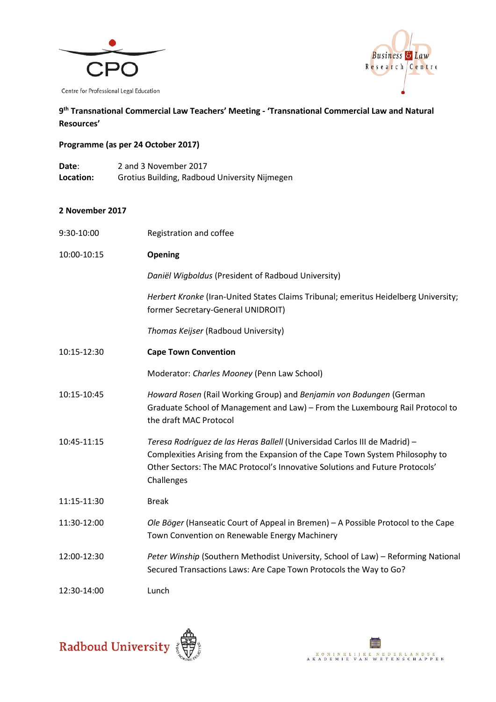



## **9th Transnational Commercial Law Teachers' Meeting - 'Transnational Commercial Law and Natural Resources'**

## **Programme (as per 24 October 2017)**

**Date**: 2 and 3 November 2017 **Location:** Grotius Building, Radboud University Nijmegen

## **2 November 2017**

| 9:30-10:00  | Registration and coffee                                                                                                                                                                                                                                   |
|-------------|-----------------------------------------------------------------------------------------------------------------------------------------------------------------------------------------------------------------------------------------------------------|
| 10:00-10:15 | <b>Opening</b>                                                                                                                                                                                                                                            |
|             | Daniël Wigboldus (President of Radboud University)                                                                                                                                                                                                        |
|             | Herbert Kronke (Iran-United States Claims Tribunal; emeritus Heidelberg University;<br>former Secretary-General UNIDROIT)                                                                                                                                 |
|             | Thomas Keijser (Radboud University)                                                                                                                                                                                                                       |
| 10:15-12:30 | <b>Cape Town Convention</b>                                                                                                                                                                                                                               |
|             | Moderator: Charles Mooney (Penn Law School)                                                                                                                                                                                                               |
| 10:15-10:45 | Howard Rosen (Rail Working Group) and Benjamin von Bodungen (German<br>Graduate School of Management and Law) - From the Luxembourg Rail Protocol to<br>the draft MAC Protocol                                                                            |
| 10:45-11:15 | Teresa Rodríguez de las Heras Ballell (Universidad Carlos III de Madrid) -<br>Complexities Arising from the Expansion of the Cape Town System Philosophy to<br>Other Sectors: The MAC Protocol's Innovative Solutions and Future Protocols'<br>Challenges |
| 11:15-11:30 | <b>Break</b>                                                                                                                                                                                                                                              |
| 11:30-12:00 | Ole Böger (Hanseatic Court of Appeal in Bremen) – A Possible Protocol to the Cape<br>Town Convention on Renewable Energy Machinery                                                                                                                        |
| 12:00-12:30 | Peter Winship (Southern Methodist University, School of Law) - Reforming National<br>Secured Transactions Laws: Are Cape Town Protocols the Way to Go?                                                                                                    |
| 12:30-14:00 | Lunch                                                                                                                                                                                                                                                     |



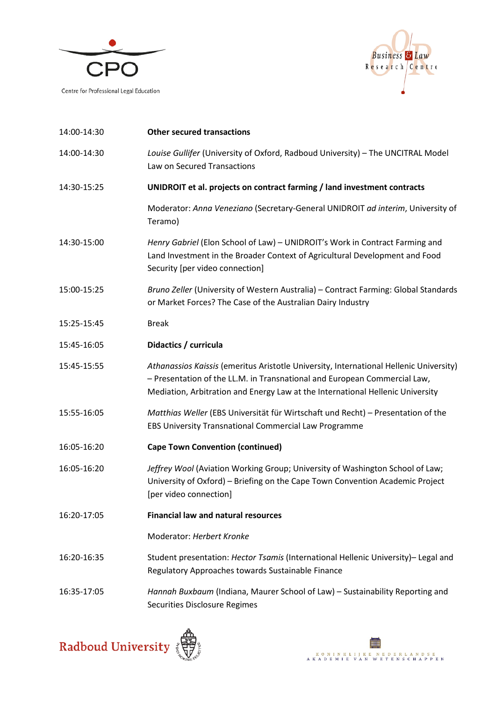



| 14:00-14:30 | <b>Other secured transactions</b>                                                                                                                                                                                                                     |
|-------------|-------------------------------------------------------------------------------------------------------------------------------------------------------------------------------------------------------------------------------------------------------|
| 14:00-14:30 | Louise Gullifer (University of Oxford, Radboud University) - The UNCITRAL Model<br>Law on Secured Transactions                                                                                                                                        |
| 14:30-15:25 | UNIDROIT et al. projects on contract farming / land investment contracts                                                                                                                                                                              |
|             | Moderator: Anna Veneziano (Secretary-General UNIDROIT ad interim, University of<br>Teramo)                                                                                                                                                            |
| 14:30-15:00 | Henry Gabriel (Elon School of Law) - UNIDROIT's Work in Contract Farming and<br>Land Investment in the Broader Context of Agricultural Development and Food<br>Security [per video connection]                                                        |
| 15:00-15:25 | Bruno Zeller (University of Western Australia) - Contract Farming: Global Standards<br>or Market Forces? The Case of the Australian Dairy Industry                                                                                                    |
| 15:25-15:45 | <b>Break</b>                                                                                                                                                                                                                                          |
| 15:45-16:05 | Didactics / curricula                                                                                                                                                                                                                                 |
| 15:45-15:55 | Athanassios Kaissis (emeritus Aristotle University, International Hellenic University)<br>- Presentation of the LL.M. in Transnational and European Commercial Law,<br>Mediation, Arbitration and Energy Law at the International Hellenic University |
| 15:55-16:05 | Matthias Weller (EBS Universität für Wirtschaft und Recht) - Presentation of the<br>EBS University Transnational Commercial Law Programme                                                                                                             |
| 16:05-16:20 | <b>Cape Town Convention (continued)</b>                                                                                                                                                                                                               |
| 16:05-16:20 | Jeffrey Wool (Aviation Working Group; University of Washington School of Law;<br>University of Oxford) - Briefing on the Cape Town Convention Academic Project<br>[per video connection]                                                              |
| 16:20-17:05 | <b>Financial law and natural resources</b>                                                                                                                                                                                                            |
|             | Moderator: Herbert Kronke                                                                                                                                                                                                                             |
| 16:20-16:35 | Student presentation: Hector Tsamis (International Hellenic University)- Legal and<br>Regulatory Approaches towards Sustainable Finance                                                                                                               |
| 16:35-17:05 | Hannah Buxbaum (Indiana, Maurer School of Law) - Sustainability Reporting and<br>Securities Disclosure Regimes                                                                                                                                        |



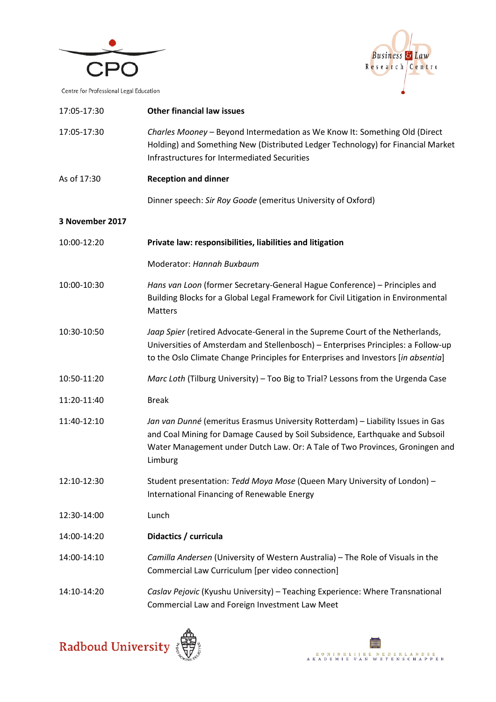



| 17:05-17:30     | <b>Other financial law issues</b>                                                                                                                                                                                                                          |
|-----------------|------------------------------------------------------------------------------------------------------------------------------------------------------------------------------------------------------------------------------------------------------------|
| 17:05-17:30     | Charles Mooney - Beyond Intermedation as We Know It: Something Old (Direct<br>Holding) and Something New (Distributed Ledger Technology) for Financial Market<br>Infrastructures for Intermediated Securities                                              |
| As of 17:30     | <b>Reception and dinner</b>                                                                                                                                                                                                                                |
|                 | Dinner speech: Sir Roy Goode (emeritus University of Oxford)                                                                                                                                                                                               |
| 3 November 2017 |                                                                                                                                                                                                                                                            |
| 10:00-12:20     | Private law: responsibilities, liabilities and litigation                                                                                                                                                                                                  |
|                 | Moderator: Hannah Buxbaum                                                                                                                                                                                                                                  |
| 10:00-10:30     | Hans van Loon (former Secretary-General Hague Conference) - Principles and<br>Building Blocks for a Global Legal Framework for Civil Litigation in Environmental<br>Matters                                                                                |
| 10:30-10:50     | Jaap Spier (retired Advocate-General in the Supreme Court of the Netherlands,<br>Universities of Amsterdam and Stellenbosch) - Enterprises Principles: a Follow-up<br>to the Oslo Climate Change Principles for Enterprises and Investors [in absentia]    |
| 10:50-11:20     | Marc Loth (Tilburg University) - Too Big to Trial? Lessons from the Urgenda Case                                                                                                                                                                           |
| 11:20-11:40     | <b>Break</b>                                                                                                                                                                                                                                               |
| 11:40-12:10     | Jan van Dunné (emeritus Erasmus University Rotterdam) - Liability Issues in Gas<br>and Coal Mining for Damage Caused by Soil Subsidence, Earthquake and Subsoil<br>Water Management under Dutch Law. Or: A Tale of Two Provinces, Groningen and<br>Limburg |
| 12:10-12:30     | Student presentation: Tedd Moya Mose (Queen Mary University of London) -<br>International Financing of Renewable Energy                                                                                                                                    |
| 12:30-14:00     | Lunch                                                                                                                                                                                                                                                      |
| 14:00-14:20     | Didactics / curricula                                                                                                                                                                                                                                      |
| 14:00-14:10     | Camilla Andersen (University of Western Australia) - The Role of Visuals in the<br>Commercial Law Curriculum [per video connection]                                                                                                                        |
| 14:10-14:20     | Caslav Pejovic (Kyushu University) - Teaching Experience: Where Transnational<br>Commercial Law and Foreign Investment Law Meet                                                                                                                            |